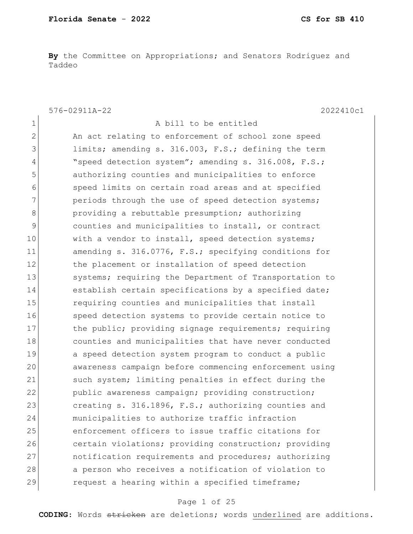**By** the Committee on Appropriations; and Senators Rodriguez and Taddeo

576-02911A-22 2022410c1

1 A bill to be entitled 2 An act relating to enforcement of school zone speed 3 limits; amending s. 316.003, F.S.; defining the term 4 "speed detection system"; amending s. 316.008, F.S.; 5 **b** authorizing counties and municipalities to enforce 6 speed limits on certain road areas and at specified 7 periods through the use of speed detection systems; 8 **b** providing a rebuttable presumption; authorizing 9 counties and municipalities to install, or contract 10 with a vendor to install, speed detection systems; 11 amending s. 316.0776, F.S.; specifying conditions for 12 the placement or installation of speed detection 13 Systems; requiring the Department of Transportation to 14 establish certain specifications by a specified date; 15 15 requiring counties and municipalities that install 16 Speed detection systems to provide certain notice to 17 17 the public; providing signage requirements; requiring 18 counties and municipalities that have never conducted 19 a speed detection system program to conduct a public 20 awareness campaign before commencing enforcement using 21 such system; limiting penalties in effect during the 22 public awareness campaign; providing construction; 23 creating s. 316.1896, F.S.; authorizing counties and 24 municipalities to authorize traffic infraction 25 enforcement officers to issue traffic citations for 26 certain violations; providing construction; providing 27 notification requirements and procedures; authorizing 28 a person who receives a notification of violation to 29 request a hearing within a specified timeframe;

### Page 1 of 25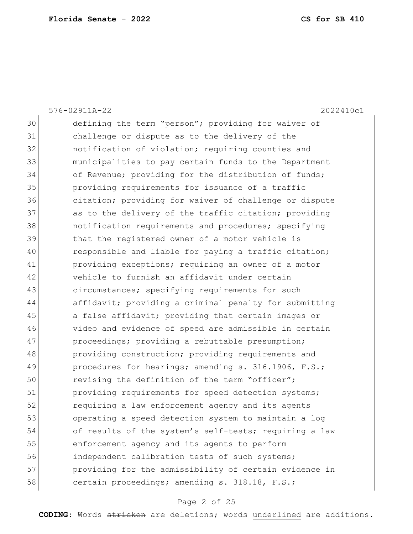|    | 576-02911A-22<br>2022410c1                             |
|----|--------------------------------------------------------|
| 30 | defining the term "person"; providing for waiver of    |
| 31 | challenge or dispute as to the delivery of the         |
| 32 | notification of violation; requiring counties and      |
| 33 | municipalities to pay certain funds to the Department  |
| 34 | of Revenue; providing for the distribution of funds;   |
| 35 | providing requirements for issuance of a traffic       |
| 36 | citation; providing for waiver of challenge or dispute |
| 37 | as to the delivery of the traffic citation; providing  |
| 38 | notification requirements and procedures; specifying   |
| 39 | that the registered owner of a motor vehicle is        |
| 40 | responsible and liable for paying a traffic citation;  |
| 41 | providing exceptions; requiring an owner of a motor    |
| 42 | vehicle to furnish an affidavit under certain          |
| 43 | circumstances; specifying requirements for such        |
| 44 | affidavit; providing a criminal penalty for submitting |
| 45 | a false affidavit; providing that certain images or    |
| 46 | video and evidence of speed are admissible in certain  |
| 47 | proceedings; providing a rebuttable presumption;       |
| 48 | providing construction; providing requirements and     |
| 49 | procedures for hearings; amending s. 316.1906, F.S.;   |
| 50 | revising the definition of the term "officer";         |
| 51 | providing requirements for speed detection systems;    |
| 52 | requiring a law enforcement agency and its agents      |
| 53 | operating a speed detection system to maintain a log   |
| 54 | of results of the system's self-tests; requiring a law |
| 55 | enforcement agency and its agents to perform           |
| 56 | independent calibration tests of such systems;         |
| 57 | providing for the admissibility of certain evidence in |
| 58 | certain proceedings; amending s. 318.18, F.S.;         |

# Page 2 of 25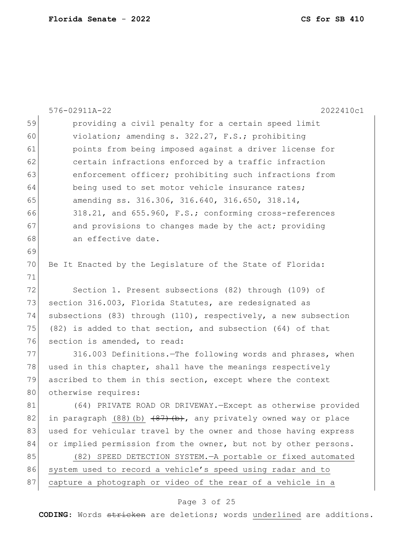|    | 576-02911A-22<br>2022410c1                                             |
|----|------------------------------------------------------------------------|
| 59 | providing a civil penalty for a certain speed limit                    |
| 60 | violation; amending s. 322.27, F.S.; prohibiting                       |
| 61 | points from being imposed against a driver license for                 |
| 62 | certain infractions enforced by a traffic infraction                   |
| 63 | enforcement officer; prohibiting such infractions from                 |
| 64 | being used to set motor vehicle insurance rates;                       |
| 65 | amending ss. 316.306, 316.640, 316.650, 318.14,                        |
| 66 | 318.21, and 655.960, F.S.; conforming cross-references                 |
| 67 | and provisions to changes made by the act; providing                   |
| 68 | an effective date.                                                     |
| 69 |                                                                        |
| 70 | Be It Enacted by the Legislature of the State of Florida:              |
| 71 |                                                                        |
| 72 | Section 1. Present subsections (82) through (109) of                   |
| 73 | section 316.003, Florida Statutes, are redesignated as                 |
| 74 | subsections (83) through (110), respectively, a new subsection         |
| 75 | $(82)$ is added to that section, and subsection $(64)$ of that         |
| 76 | section is amended, to read:                                           |
| 77 | 316.003 Definitions. The following words and phrases, when             |
| 78 | used in this chapter, shall have the meanings respectively             |
| 79 | ascribed to them in this section, except where the context             |
| 80 | otherwise requires:                                                    |
| 81 | (64) PRIVATE ROAD OR DRIVEWAY. - Except as otherwise provided          |
| 82 | in paragraph $(88)(b)$ $(87)$ $(b)$ , any privately owned way or place |
| 83 | used for vehicular travel by the owner and those having express        |
| 84 | or implied permission from the owner, but not by other persons.        |
| 85 | (82) SPEED DETECTION SYSTEM. - A portable or fixed automated           |
| 86 | system used to record a vehicle's speed using radar and to             |
| 87 | capture a photograph or video of the rear of a vehicle in a            |
|    |                                                                        |

### Page 3 of 25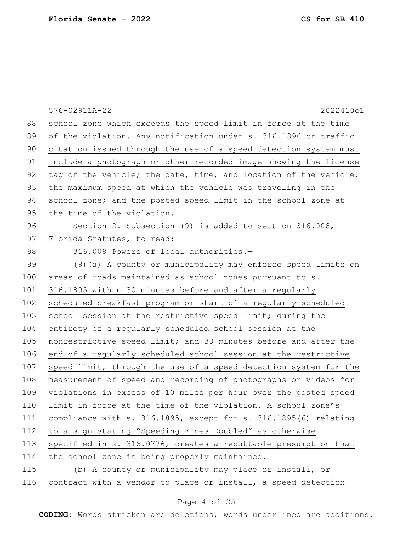|     | 576-02911A-22<br>2022410c1                                       |
|-----|------------------------------------------------------------------|
| 88  | school zone which exceeds the speed limit in force at the time   |
| 89  | of the violation. Any notification under s. 316.1896 or traffic  |
| 90  | citation issued through the use of a speed detection system must |
| 91  | include a photograph or other recorded image showing the license |
| 92  | tag of the vehicle; the date, time, and location of the vehicle; |
| 93  | the maximum speed at which the vehicle was traveling in the      |
| 94  | school zone; and the posted speed limit in the school zone at    |
| 95  | the time of the violation.                                       |
| 96  | Section 2. Subsection (9) is added to section 316.008,           |
| 97  | Florida Statutes, to read:                                       |
| 98  | 316.008 Powers of local authorities.-                            |
| 99  | (9) (a) A county or municipality may enforce speed limits on     |
| 100 | areas of roads maintained as school zones pursuant to s.         |
| 101 | 316.1895 within 30 minutes before and after a regularly          |
| 102 | scheduled breakfast program or start of a regularly scheduled    |
| 103 | school session at the restrictive speed limit; during the        |
| 104 | entirety of a regularly scheduled school session at the          |
| 105 | nonrestrictive speed limit; and 30 minutes before and after the  |
| 106 | end of a regularly scheduled school session at the restrictive   |
| 107 | speed limit, through the use of a speed detection system for the |
| 108 | measurement of speed and recording of photographs or videos for  |
| 109 | violations in excess of 10 miles per hour over the posted speed  |
| 110 | limit in force at the time of the violation. A school zone's     |
| 111 | compliance with s. 316.1895, except for s. 316.1895(6) relating  |
| 112 | to a sign stating "Speeding Fines Doubled" as otherwise          |
| 113 | specified in s. 316.0776, creates a rebuttable presumption that  |
| 114 | the school zone is being properly maintained.                    |
| 115 | (b) A county or municipality may place or install, or            |
| 116 | contract with a vendor to place or install, a speed detection    |

# Page 4 of 25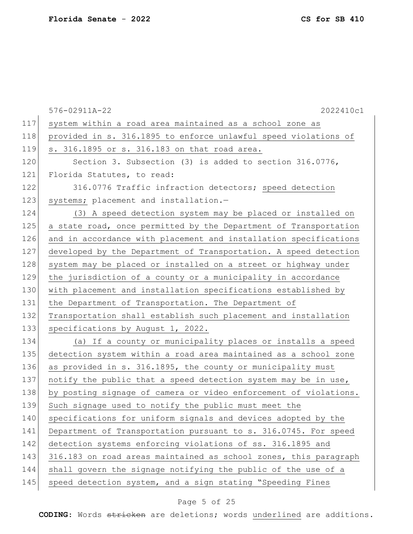|     | 576-02911A-22<br>2022410c1                                       |
|-----|------------------------------------------------------------------|
| 117 | system within a road area maintained as a school zone as         |
| 118 | provided in s. 316.1895 to enforce unlawful speed violations of  |
| 119 | s. 316.1895 or s. 316.183 on that road area.                     |
| 120 | Section 3. Subsection (3) is added to section 316.0776,          |
| 121 | Florida Statutes, to read:                                       |
| 122 | 316.0776 Traffic infraction detectors; speed detection           |
| 123 | systems; placement and installation.-                            |
| 124 | (3) A speed detection system may be placed or installed on       |
| 125 | a state road, once permitted by the Department of Transportation |
| 126 | and in accordance with placement and installation specifications |
| 127 | developed by the Department of Transportation. A speed detection |
| 128 | system may be placed or installed on a street or highway under   |
| 129 | the jurisdiction of a county or a municipality in accordance     |
| 130 | with placement and installation specifications established by    |
| 131 | the Department of Transportation. The Department of              |
| 132 | Transportation shall establish such placement and installation   |
| 133 | specifications by August 1, 2022.                                |
| 134 | (a) If a county or municipality places or installs a speed       |
| 135 | detection system within a road area maintained as a school zone  |
| 136 | as provided in s. 316.1895, the county or municipality must      |
| 137 | notify the public that a speed detection system may be in use,   |
| 138 | by posting signage of camera or video enforcement of violations. |
| 139 | Such signage used to notify the public must meet the             |
| 140 | specifications for uniform signals and devices adopted by the    |
| 141 | Department of Transportation pursuant to s. 316.0745. For speed  |
| 142 | detection systems enforcing violations of ss. 316.1895 and       |
| 143 | 316.183 on road areas maintained as school zones, this paragraph |
| 144 | shall govern the signage notifying the public of the use of a    |
| 145 | speed detection system, and a sign stating "Speeding Fines       |
|     |                                                                  |

# Page 5 of 25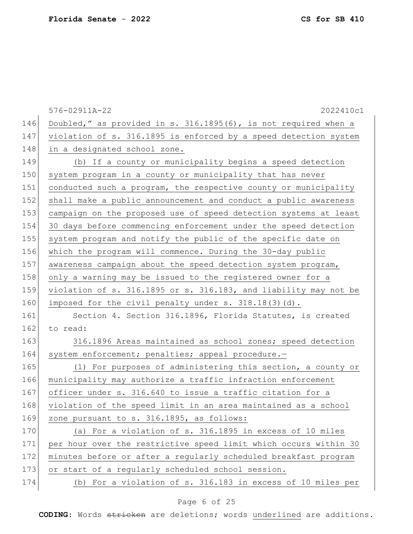576-02911A-22 2022410c1 146 Doubled," as provided in s. 316.1895(6), is not required when a 147 violation of s. 316.1895 is enforced by a speed detection system 148 in a designated school zone. 149 (b) If a county or municipality begins a speed detection 150 system program in a county or municipality that has never 151 conducted such a program, the respective county or municipality 152 shall make a public announcement and conduct a public awareness 153 campaign on the proposed use of speed detection systems at least 154 30 days before commencing enforcement under the speed detection 155 system program and notify the public of the specific date on 156 which the program will commence. During the 30-day public 157 awareness campaign about the speed detection system program, 158 only a warning may be issued to the registered owner for a 159 violation of s. 316.1895 or s. 316.183, and liability may not be 160 imposed for the civil penalty under s. 318.18(3)(d). 161 Section 4. Section 316.1896, Florida Statutes, is created  $162$  to read: 163 316.1896 Areas maintained as school zones; speed detection 164 system enforcement; penalties; appeal procedure.-165 (1) For purposes of administering this section, a county or 166 municipality may authorize a traffic infraction enforcement 167 officer under s. 316.640 to issue a traffic citation for a 168 violation of the speed limit in an area maintained as a school  $169$  zone pursuant to s. 316.1895, as follows: 170 (a) For a violation of s. 316.1895 in excess of 10 miles 171 per hour over the restrictive speed limit which occurs within 30 172 minutes before or after a regularly scheduled breakfast program 173 or start of a regularly scheduled school session.

### 174 (b) For a violation of s. 316.183 in excess of 10 miles per

### Page 6 of 25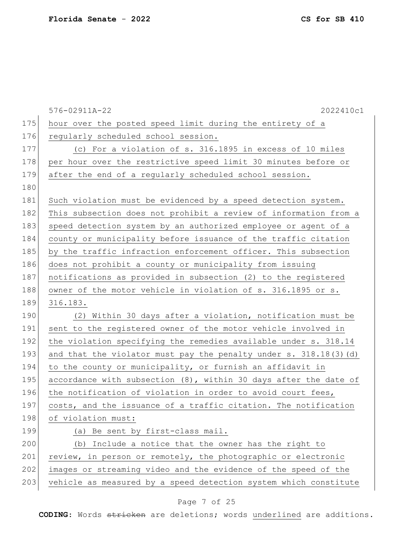|     | 576-02911A-22<br>2022410c1                                          |
|-----|---------------------------------------------------------------------|
| 175 | hour over the posted speed limit during the entirety of a           |
| 176 | reqularly scheduled school session.                                 |
| 177 | (c) For a violation of s. 316.1895 in excess of 10 miles            |
| 178 | per hour over the restrictive speed limit 30 minutes before or      |
| 179 | after the end of a regularly scheduled school session.              |
| 180 |                                                                     |
| 181 | Such violation must be evidenced by a speed detection system.       |
| 182 | This subsection does not prohibit a review of information from a    |
| 183 | speed detection system by an authorized employee or agent of a      |
| 184 | county or municipality before issuance of the traffic citation      |
| 185 | by the traffic infraction enforcement officer. This subsection      |
| 186 | does not prohibit a county or municipality from issuing             |
| 187 | notifications as provided in subsection (2) to the registered       |
| 188 | owner of the motor vehicle in violation of s. 316.1895 or s.        |
| 189 | 316.183.                                                            |
| 190 | (2) Within 30 days after a violation, notification must be          |
| 191 | sent to the registered owner of the motor vehicle involved in       |
| 192 | the violation specifying the remedies available under s. 318.14     |
| 193 | and that the violator must pay the penalty under s. 318.18(3) (d)   |
| 194 | to the county or municipality, or furnish an affidavit in           |
| 195 | accordance with subsection $(8)$ , within 30 days after the date of |
| 196 | the notification of violation in order to avoid court fees,         |
| 197 | costs, and the issuance of a traffic citation. The notification     |
| 198 | of violation must:                                                  |
| 199 | (a) Be sent by first-class mail.                                    |
| 200 | (b) Include a notice that the owner has the right to                |
| 201 | review, in person or remotely, the photographic or electronic       |
| 202 | images or streaming video and the evidence of the speed of the      |
| 203 | vehicle as measured by a speed detection system which constitute    |

# Page 7 of 25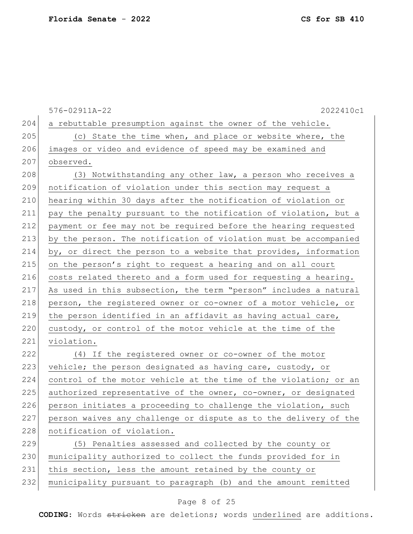576-02911A-22 2022410c1  $204$  a rebuttable presumption against the owner of the vehicle.  $205$  (c) State the time when, and place or website where, the 206 images or video and evidence of speed may be examined and 207 observed. 208 (3) Notwithstanding any other law, a person who receives a 209 notification of violation under this section may request a 210 hearing within 30 days after the notification of violation or 211 pay the penalty pursuant to the notification of violation, but a 212 payment or fee may not be required before the hearing requested 213 by the person. The notification of violation must be accompanied 214 by, or direct the person to a website that provides, information 215 on the person's right to request a hearing and on all court 216 costs related thereto and a form used for requesting a hearing. 217 As used in this subsection, the term "person" includes a natural 218 person, the registered owner or co-owner of a motor vehicle, or 219 the person identified in an affidavit as having actual care, 220 custody, or control of the motor vehicle at the time of the 221 violation. 222 (4) If the registered owner or co-owner of the motor 223 vehicle; the person designated as having care, custody, or 224 control of the motor vehicle at the time of the violation; or an 225 authorized representative of the owner, co-owner, or designated  $226$  person initiates a proceeding to challenge the violation, such 227 person waives any challenge or dispute as to the delivery of the 228 notification of violation. 229 (5) Penalties assessed and collected by the county or 230 | municipality authorized to collect the funds provided for in 231 this section, less the amount retained by the county or 232 municipality pursuant to paragraph (b) and the amount remitted

#### Page 8 of 25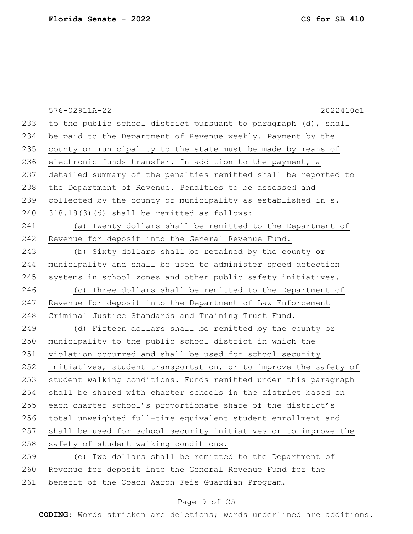|     | 2022410c1<br>576-02911A-22                                       |
|-----|------------------------------------------------------------------|
| 233 | to the public school district pursuant to paragraph (d), shall   |
| 234 | be paid to the Department of Revenue weekly. Payment by the      |
| 235 | county or municipality to the state must be made by means of     |
| 236 | electronic funds transfer. In addition to the payment, a         |
| 237 | detailed summary of the penalties remitted shall be reported to  |
| 238 | the Department of Revenue. Penalties to be assessed and          |
| 239 | collected by the county or municipality as established in s.     |
| 240 | 318.18(3)(d) shall be remitted as follows:                       |
| 241 | (a) Twenty dollars shall be remitted to the Department of        |
| 242 | Revenue for deposit into the General Revenue Fund.               |
| 243 | (b) Sixty dollars shall be retained by the county or             |
| 244 | municipality and shall be used to administer speed detection     |
| 245 | systems in school zones and other public safety initiatives.     |
| 246 | (c) Three dollars shall be remitted to the Department of         |
| 247 | Revenue for deposit into the Department of Law Enforcement       |
| 248 | Criminal Justice Standards and Training Trust Fund.              |
| 249 | (d) Fifteen dollars shall be remitted by the county or           |
| 250 | municipality to the public school district in which the          |
| 251 | violation occurred and shall be used for school security         |
| 252 | initiatives, student transportation, or to improve the safety of |
| 253 | student walking conditions. Funds remitted under this paragraph  |
| 254 | shall be shared with charter schools in the district based on    |
| 255 | each charter school's proportionate share of the district's      |
| 256 | total unweighted full-time equivalent student enrollment and     |
| 257 | shall be used for school security initiatives or to improve the  |
| 258 | safety of student walking conditions.                            |
| 259 | (e) Two dollars shall be remitted to the Department of           |
| 260 | Revenue for deposit into the General Revenue Fund for the        |
| 261 | benefit of the Coach Aaron Feis Guardian Program.                |

# Page 9 of 25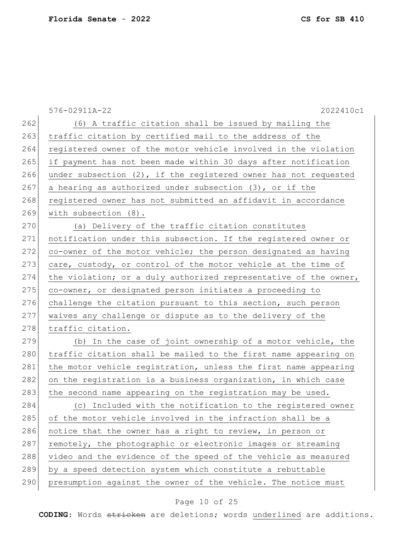576-02911A-22 2022410c1 262 (6) A traffic citation shall be issued by mailing the 263 traffic citation by certified mail to the address of the 264 registered owner of the motor vehicle involved in the violation 265 if payment has not been made within 30 days after notification 266 under subsection  $(2)$ , if the registered owner has not requested 267 a hearing as authorized under subsection  $(3)$ , or if the 268 registered owner has not submitted an affidavit in accordance 269 with subsection (8). 270 (a) Delivery of the traffic citation constitutes 271 notification under this subsection. If the registered owner or  $272$  co-owner of the motor vehicle; the person designated as having 273 care, custody, or control of the motor vehicle at the time of 274 the violation; or a duly authorized representative of the owner, 275 co-owner, or designated person initiates a proceeding to 276 challenge the citation pursuant to this section, such person 277 waives any challenge or dispute as to the delivery of the 278 traffic citation.  $279$  (b) In the case of joint ownership of a motor vehicle, the 280 traffic citation shall be mailed to the first name appearing on 281 the motor vehicle registration, unless the first name appearing 282 on the registration is a business organization, in which case  $283$  the second name appearing on the registration may be used. 284 (c) Included with the notification to the registered owner 285 of the motor vehicle involved in the infraction shall be a 286 notice that the owner has a right to review, in person or  $287$  remotely, the photographic or electronic images or streaming 288 video and the evidence of the speed of the vehicle as measured 289 by a speed detection system which constitute a rebuttable 290 presumption against the owner of the vehicle. The notice must

### Page 10 of 25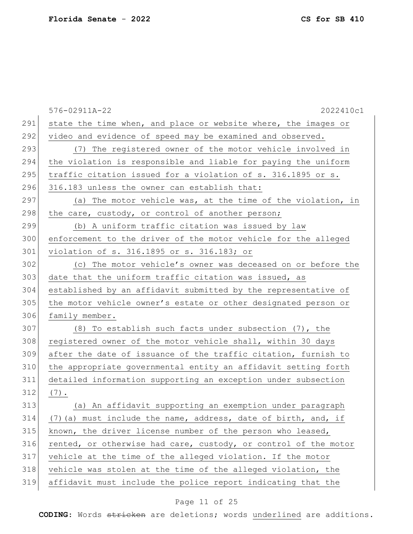|     | 576-02911A-22<br>2022410c1                                      |
|-----|-----------------------------------------------------------------|
| 291 | state the time when, and place or website where, the images or  |
| 292 | video and evidence of speed may be examined and observed.       |
| 293 | (7) The registered owner of the motor vehicle involved in       |
| 294 | the violation is responsible and liable for paying the uniform  |
| 295 | traffic citation issued for a violation of s. 316.1895 or s.    |
| 296 | 316.183 unless the owner can establish that:                    |
| 297 | (a) The motor vehicle was, at the time of the violation, in     |
| 298 | the care, custody, or control of another person;                |
| 299 | (b) A uniform traffic citation was issued by law                |
| 300 | enforcement to the driver of the motor vehicle for the alleged  |
| 301 | violation of s. 316.1895 or s. 316.183; or                      |
| 302 | (c) The motor vehicle's owner was deceased on or before the     |
| 303 | date that the uniform traffic citation was issued, as           |
| 304 | established by an affidavit submitted by the representative of  |
| 305 | the motor vehicle owner's estate or other designated person or  |
| 306 | family member.                                                  |
| 307 | (8) To establish such facts under subsection (7), the           |
| 308 | registered owner of the motor vehicle shall, within 30 days     |
| 309 | after the date of issuance of the traffic citation, furnish to  |
| 310 | the appropriate governmental entity an affidavit setting forth  |
| 311 | detailed information supporting an exception under subsection   |
| 312 | $(7)$ .                                                         |
| 313 | (a) An affidavit supporting an exemption under paragraph        |
| 314 | (7) (a) must include the name, address, date of birth, and, if  |
| 315 | known, the driver license number of the person who leased,      |
| 316 | rented, or otherwise had care, custody, or control of the motor |
| 317 | vehicle at the time of the alleged violation. If the motor      |
| 318 | vehicle was stolen at the time of the alleged violation, the    |
| 319 | affidavit must include the police report indicating that the    |

# Page 11 of 25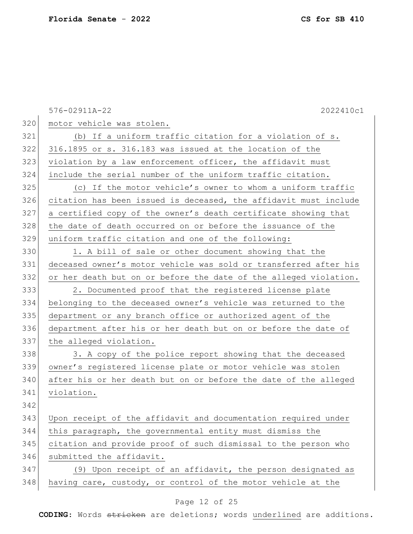576-02911A-22 2022410c1 320 motor vehicle was stolen. 321 (b) If a uniform traffic citation for a violation of s. 316.1895 or s. 316.183 was issued at the location of the violation by a law enforcement officer, the affidavit must include the serial number of the uniform traffic citation. (c) If the motor vehicle's owner to whom a uniform traffic citation has been issued is deceased, the affidavit must include a certified copy of the owner's death certificate showing that 328 the date of death occurred on or before the issuance of the uniform traffic citation and one of the following: 1. A bill of sale or other document showing that the deceased owner's motor vehicle was sold or transferred after his or her death but on or before the date of the alleged violation. 2. Documented proof that the registered license plate belonging to the deceased owner's vehicle was returned to the department or any branch office or authorized agent of the department after his or her death but on or before the date of 337 the alleged violation. 338 38. A copy of the police report showing that the deceased owner's registered license plate or motor vehicle was stolen after his or her death but on or before the date of the alleged violation. Upon receipt of the affidavit and documentation required under this paragraph, the governmental entity must dismiss the 345 citation and provide proof of such dismissal to the person who 346 submitted the affidavit. (9) Upon receipt of an affidavit, the person designated as 348 having care, custody, or control of the motor vehicle at the

#### Page 12 of 25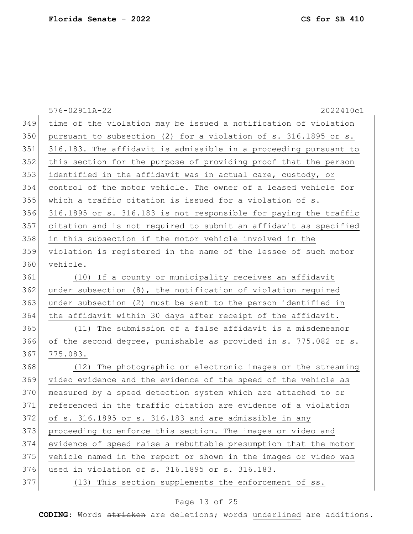|     | 576-02911A-22<br>2022410c1                                       |
|-----|------------------------------------------------------------------|
| 349 | time of the violation may be issued a notification of violation  |
| 350 | pursuant to subsection (2) for a violation of s. 316.1895 or s.  |
| 351 | 316.183. The affidavit is admissible in a proceeding pursuant to |
| 352 | this section for the purpose of providing proof that the person  |
| 353 | identified in the affidavit was in actual care, custody, or      |
| 354 | control of the motor vehicle. The owner of a leased vehicle for  |
| 355 | which a traffic citation is issued for a violation of s.         |
| 356 | 316.1895 or s. 316.183 is not responsible for paying the traffic |
| 357 | citation and is not required to submit an affidavit as specified |
| 358 | in this subsection if the motor vehicle involved in the          |
| 359 | violation is registered in the name of the lessee of such motor  |
| 360 | vehicle.                                                         |
| 361 | (10) If a county or municipality receives an affidavit           |
| 362 | under subsection $(8)$ , the notification of violation required  |
| 363 | under subsection (2) must be sent to the person identified in    |
| 364 | the affidavit within 30 days after receipt of the affidavit.     |
| 365 | (11) The submission of a false affidavit is a misdemeanor        |
| 366 | of the second degree, punishable as provided in s. 775.082 or s. |
| 367 | 775.083.                                                         |
| 368 | (12) The photographic or electronic images or the streaming      |
| 369 | video evidence and the evidence of the speed of the vehicle as   |
| 370 | measured by a speed detection system which are attached to or    |
| 371 | referenced in the traffic citation are evidence of a violation   |
| 372 | of s. 316.1895 or s. 316.183 and are admissible in any           |
| 373 | proceeding to enforce this section. The images or video and      |
| 374 | evidence of speed raise a rebuttable presumption that the motor  |
| 375 | vehicle named in the report or shown in the images or video was  |
| 376 | used in violation of s. 316.1895 or s. 316.183.                  |
| 377 | (13) This section supplements the enforcement of ss.             |
|     |                                                                  |

# Page 13 of 25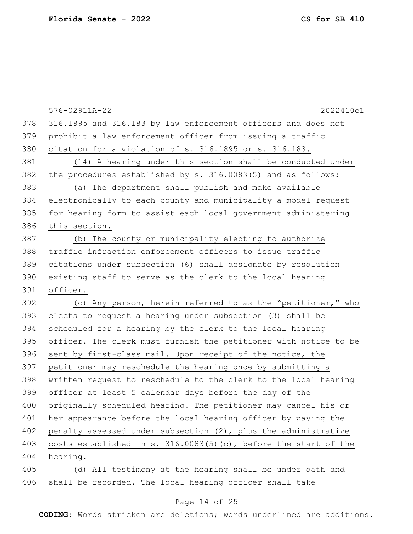|     | 2022410c1<br>576-02911A-22                                         |
|-----|--------------------------------------------------------------------|
| 378 | 316.1895 and 316.183 by law enforcement officers and does not      |
| 379 | prohibit a law enforcement officer from issuing a traffic          |
| 380 | citation for a violation of s. 316.1895 or s. 316.183.             |
| 381 | (14) A hearing under this section shall be conducted under         |
| 382 | the procedures established by s. 316.0083(5) and as follows:       |
| 383 | (a) The department shall publish and make available                |
| 384 | electronically to each county and municipality a model request     |
| 385 | for hearing form to assist each local government administering     |
| 386 | this section.                                                      |
| 387 | (b) The county or municipality electing to authorize               |
| 388 | traffic infraction enforcement officers to issue traffic           |
| 389 | citations under subsection (6) shall designate by resolution       |
| 390 | existing staff to serve as the clerk to the local hearing          |
| 391 | officer.                                                           |
| 392 | (c) Any person, herein referred to as the "petitioner," who        |
| 393 | elects to request a hearing under subsection (3) shall be          |
| 394 | scheduled for a hearing by the clerk to the local hearing          |
| 395 | officer. The clerk must furnish the petitioner with notice to be   |
| 396 | sent by first-class mail. Upon receipt of the notice, the          |
| 397 | petitioner may reschedule the hearing once by submitting a         |
| 398 | written request to reschedule to the clerk to the local hearing    |
| 399 | officer at least 5 calendar days before the day of the             |
| 400 | originally scheduled hearing. The petitioner may cancel his or     |
| 401 | her appearance before the local hearing officer by paying the      |
| 402 | penalty assessed under subsection (2), plus the administrative     |
| 403 | costs established in s. $316.0083(5)(c)$ , before the start of the |
| 404 | hearing.                                                           |
| 405 | (d) All testimony at the hearing shall be under oath and           |
| 406 | shall be recorded. The local hearing officer shall take            |

# Page 14 of 25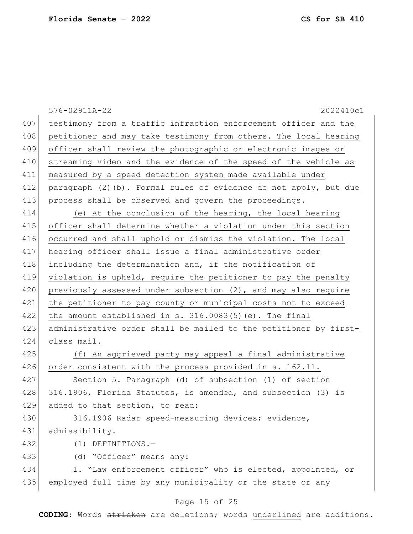|     | 576-02911A-22<br>2022410c1                                        |
|-----|-------------------------------------------------------------------|
| 407 | testimony from a traffic infraction enforcement officer and the   |
| 408 | petitioner and may take testimony from others. The local hearing  |
| 409 | officer shall review the photographic or electronic images or     |
| 410 | streaming video and the evidence of the speed of the vehicle as   |
| 411 | measured by a speed detection system made available under         |
| 412 | paragraph (2)(b). Formal rules of evidence do not apply, but due  |
| 413 | process shall be observed and govern the proceedings.             |
| 414 | (e) At the conclusion of the hearing, the local hearing           |
| 415 | officer shall determine whether a violation under this section    |
| 416 | occurred and shall uphold or dismiss the violation. The local     |
| 417 | hearing officer shall issue a final administrative order          |
| 418 | including the determination and, if the notification of           |
| 419 | violation is upheld, require the petitioner to pay the penalty    |
| 420 | previously assessed under subsection $(2)$ , and may also require |
| 421 | the petitioner to pay county or municipal costs not to exceed     |
| 422 | the amount established in $s. 316.0083(5)$ (e). The final         |
| 423 | administrative order shall be mailed to the petitioner by first-  |
| 424 | class mail.                                                       |
| 425 | (f) An aggrieved party may appeal a final administrative          |
| 426 | order consistent with the process provided in s. 162.11.          |
| 427 | Section 5. Paragraph (d) of subsection (1) of section             |
| 428 | 316.1906, Florida Statutes, is amended, and subsection (3) is     |
| 429 | added to that section, to read:                                   |
| 430 | 316.1906 Radar speed-measuring devices; evidence,                 |
| 431 | admissibility.-                                                   |
| 432 | $(1)$ DEFINITIONS.-                                               |
| 433 | (d) "Officer" means any:                                          |
| 434 | 1. "Law enforcement officer" who is elected, appointed, or        |
| 435 | employed full time by any municipality or the state or any        |
|     | Page 15 of 25                                                     |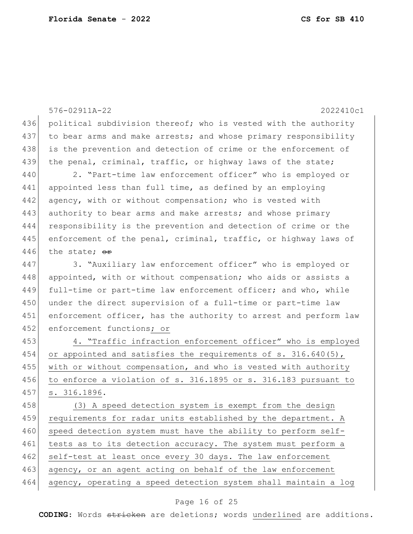576-02911A-22 2022410c1 436 political subdivision thereof; who is vested with the authority 437 to bear arms and make arrests; and whose primary responsibility 438 is the prevention and detection of crime or the enforcement of 439 the penal, criminal, traffic, or highway laws of the state; 440 2. "Part-time law enforcement officer" who is employed or 441 appointed less than full time, as defined by an employing 442 agency, with or without compensation; who is vested with 443 authority to bear arms and make arrests; and whose primary 444 responsibility is the prevention and detection of crime or the 445 enforcement of the penal, criminal, traffic, or highway laws of 446 the state:  $\Theta$ r 447 3. "Auxiliary law enforcement officer" who is employed or 448 appointed, with or without compensation; who aids or assists a 449 full-time or part-time law enforcement officer; and who, while 450 under the direct supervision of a full-time or part-time law 451 enforcement officer, has the authority to arrest and perform law 452 enforcement functions; or 453 4. "Traffic infraction enforcement officer" who is employed 454 or appointed and satisfies the requirements of s. 316.640(5), 455 with or without compensation, and who is vested with authority 456 to enforce a violation of s. 316.1895 or s. 316.183 pursuant to 457 s. 316.1896. 458 (3) A speed detection system is exempt from the design 459 requirements for radar units established by the department. A 460 speed detection system must have the ability to perform self-461 tests as to its detection accuracy. The system must perform a 462 self-test at least once every 30 days. The law enforcement 463 agency, or an agent acting on behalf of the law enforcement 464 agency, operating a speed detection system shall maintain a log

#### Page 16 of 25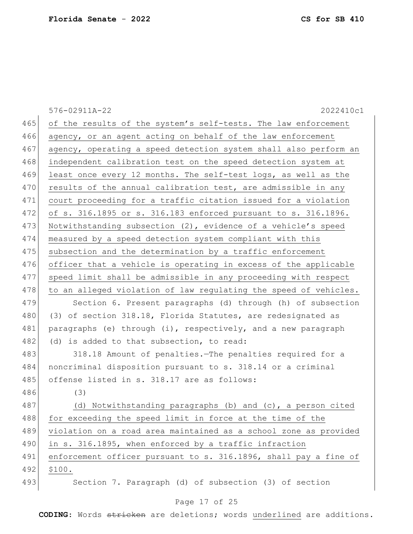|     | 2022410c1<br>576-02911A-22                                       |
|-----|------------------------------------------------------------------|
| 465 | of the results of the system's self-tests. The law enforcement   |
| 466 | agency, or an agent acting on behalf of the law enforcement      |
| 467 | agency, operating a speed detection system shall also perform an |
| 468 | independent calibration test on the speed detection system at    |
| 469 | least once every 12 months. The self-test logs, as well as the   |
| 470 | results of the annual calibration test, are admissible in any    |
| 471 | court proceeding for a traffic citation issued for a violation   |
| 472 | of s. 316.1895 or s. 316.183 enforced pursuant to s. 316.1896.   |
| 473 | Notwithstanding subsection (2), evidence of a vehicle's speed    |
| 474 | measured by a speed detection system compliant with this         |
| 475 | subsection and the determination by a traffic enforcement        |
| 476 | officer that a vehicle is operating in excess of the applicable  |
| 477 | speed limit shall be admissible in any proceeding with respect   |
| 478 | to an alleged violation of law regulating the speed of vehicles. |
| 479 | Section 6. Present paragraphs (d) through (h) of subsection      |
| 480 | (3) of section 318.18, Florida Statutes, are redesignated as     |
| 481 | paragraphs (e) through (i), respectively, and a new paragraph    |
| 482 | (d) is added to that subsection, to read:                        |
| 483 | 318.18 Amount of penalties. The penalties required for a         |
| 484 | noncriminal disposition pursuant to s. 318.14 or a criminal      |
| 485 | offense listed in s. 318.17 are as follows:                      |
| 486 | (3)                                                              |
| 487 | (d) Notwithstanding paragraphs (b) and (c), a person cited       |
| 488 | for exceeding the speed limit in force at the time of the        |
| 489 | violation on a road area maintained as a school zone as provided |
| 490 | in s. 316.1895, when enforced by a traffic infraction            |
| 491 | enforcement officer pursuant to s. 316.1896, shall pay a fine of |
| 492 | \$100.                                                           |
| 493 | Section 7. Paragraph (d) of subsection (3) of section            |

# Page 17 of 25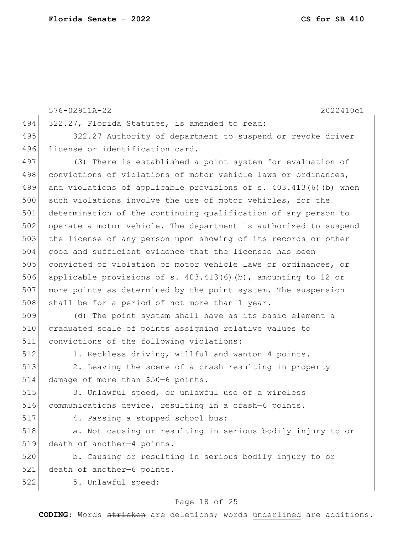576-02911A-22 2022410c1 494 322.27, Florida Statutes, is amended to read: 495 322.27 Authority of department to suspend or revoke driver 496 license or identification card.-497 (3) There is established a point system for evaluation of 498 convictions of violations of motor vehicle laws or ordinances, 499 and violations of applicable provisions of s. 403.413(6)(b) when 500 such violations involve the use of motor vehicles, for the 501 determination of the continuing qualification of any person to 502 operate a motor vehicle. The department is authorized to suspend 503 the license of any person upon showing of its records or other 504 good and sufficient evidence that the licensee has been 505 convicted of violation of motor vehicle laws or ordinances, or 506 applicable provisions of s. 403.413(6)(b), amounting to 12 or 507 more points as determined by the point system. The suspension 508 shall be for a period of not more than 1 year. 509 (d) The point system shall have as its basic element a 510 graduated scale of points assigning relative values to 511 convictions of the following violations: 512 1. Reckless driving, willful and wanton—4 points. 513 2. Leaving the scene of a crash resulting in property 514 damage of more than \$50-6 points. 515 3. Unlawful speed, or unlawful use of a wireless 516 communications device, resulting in a crash-6 points.

517 4. Passing a stopped school bus:

518 a. Not causing or resulting in serious bodily injury to or 519 death of another—4 points.

520 b. Causing or resulting in serious bodily injury to or 521 death of another-6 points.

522 5. Unlawful speed:

### Page 18 of 25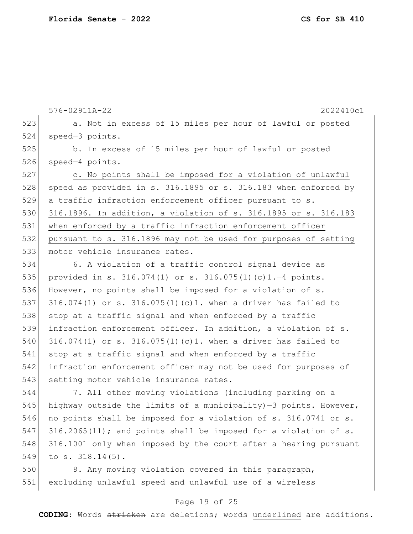576-02911A-22 2022410c1 523 a. Not in excess of 15 miles per hour of lawful or posted 524 speed—3 points. 525 b. In excess of 15 miles per hour of lawful or posted 526 speed-4 points. 527 c. No points shall be imposed for a violation of unlawful 528 speed as provided in s. 316.1895 or s. 316.183 when enforced by 529 a traffic infraction enforcement officer pursuant to s. 530 316.1896. In addition, a violation of s. 316.1895 or s. 316.183 531 when enforced by a traffic infraction enforcement officer 532 pursuant to s. 316.1896 may not be used for purposes of setting 533 motor vehicle insurance rates. 534 6. A violation of a traffic control signal device as 535 provided in s. 316.074(1) or s. 316.075(1)(c)1.—4 points. 536 However, no points shall be imposed for a violation of s. 537 316.074(1) or s. 316.075(1)(c)1. when a driver has failed to  $538$  stop at a traffic signal and when enforced by a traffic 539 infraction enforcement officer. In addition, a violation of s. 540 316.074(1) or s. 316.075(1)(c)1. when a driver has failed to 541 stop at a traffic signal and when enforced by a traffic 542 infraction enforcement officer may not be used for purposes of 543 setting motor vehicle insurance rates. 544 7. All other moving violations (including parking on a 545 highway outside the limits of a municipality)  $-3$  points. However, 546 no points shall be imposed for a violation of s. 316.0741 or s. 547 316.2065(11); and points shall be imposed for a violation of s.

548 316.1001 only when imposed by the court after a hearing pursuant 549 to s. 318.14(5).

550 8. Any moving violation covered in this paragraph, 551 excluding unlawful speed and unlawful use of a wireless

### Page 19 of 25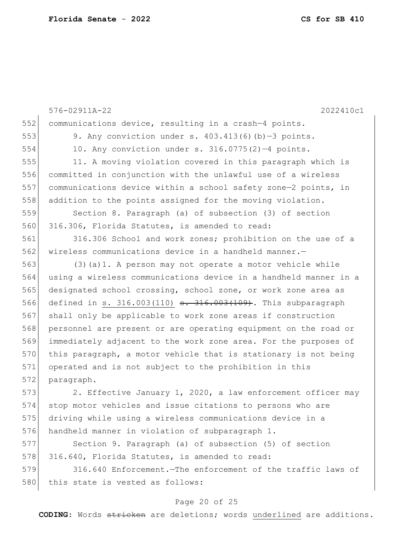576-02911A-22 2022410c1 552 communications device, resulting in a crash-4 points. 553 9. Any conviction under s.  $403.413(6)(b)-3$  points. 554 10. Any conviction under s. 316.0775(2)—4 points. 555 11. A moving violation covered in this paragraph which is 556 committed in conjunction with the unlawful use of a wireless 557 communications device within a school safety zone—2 points, in 558 addition to the points assigned for the moving violation. 559 Section 8. Paragraph (a) of subsection (3) of section 560 316.306, Florida Statutes, is amended to read: 561 316.306 School and work zones; prohibition on the use of a 562 wireless communications device in a handheld manner.— 563 (3)(a)1. A person may not operate a motor vehicle while 564 using a wireless communications device in a handheld manner in a 565 designated school crossing, school zone, or work zone area as 566 defined in s. 316.003(110) <del>s. 316.003(109)</del>. This subparagraph 567 shall only be applicable to work zone areas if construction 568 personnel are present or are operating equipment on the road or 569 immediately adjacent to the work zone area. For the purposes of 570 this paragraph, a motor vehicle that is stationary is not being 571 operated and is not subject to the prohibition in this 572 paragraph. 573 2. Effective January 1, 2020, a law enforcement officer may 574 stop motor vehicles and issue citations to persons who are 575 driving while using a wireless communications device in a 576 handheld manner in violation of subparagraph 1. 577 Section 9. Paragraph (a) of subsection (5) of section 578 316.640, Florida Statutes, is amended to read: 579 316.640 Enforcement.—The enforcement of the traffic laws of

580 this state is vested as follows:

#### Page 20 of 25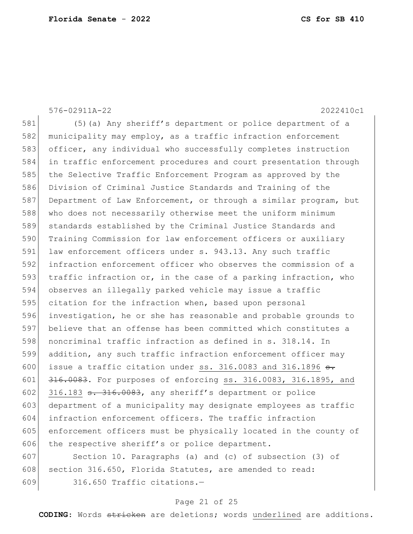576-02911A-22 2022410c1 581 (5)(a) Any sheriff's department or police department of a 582 municipality may employ, as a traffic infraction enforcement 583 officer, any individual who successfully completes instruction 584 in traffic enforcement procedures and court presentation through 585 the Selective Traffic Enforcement Program as approved by the 586 Division of Criminal Justice Standards and Training of the 587 Department of Law Enforcement, or through a similar program, but 588 who does not necessarily otherwise meet the uniform minimum 589 standards established by the Criminal Justice Standards and 590 Training Commission for law enforcement officers or auxiliary 591 law enforcement officers under s. 943.13. Any such traffic 592 infraction enforcement officer who observes the commission of a 593 traffic infraction or, in the case of a parking infraction, who 594 observes an illegally parked vehicle may issue a traffic 595 citation for the infraction when, based upon personal 596 investigation, he or she has reasonable and probable grounds to 597 believe that an offense has been committed which constitutes a 598 noncriminal traffic infraction as defined in s. 318.14. In 599 addition, any such traffic infraction enforcement officer may 600 issue a traffic citation under ss. 316.0083 and 316.1896  $\frac{1}{100}$ . 601 316.0083. For purposes of enforcing ss. 316.0083, 316.1895, and 602 316.183  $\texttt{s.}$  316.0083, any sheriff's department or police 603 department of a municipality may designate employees as traffic 604 infraction enforcement officers. The traffic infraction 605 enforcement officers must be physically located in the county of 606 the respective sheriff's or police department. 607 Section 10. Paragraphs (a) and (c) of subsection (3) of 608 section 316.650, Florida Statutes, are amended to read: 609 316.650 Traffic citations.—

### Page 21 of 25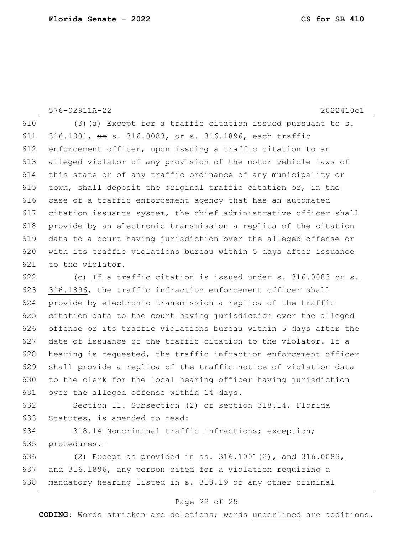576-02911A-22 2022410c1 610  $(3)$  (a) Except for a traffic citation issued pursuant to s. 611 316.1001, or s. 316.0083, or s. 316.1896, each traffic 612 enforcement officer, upon issuing a traffic citation to an 613 alleged violator of any provision of the motor vehicle laws of 614 this state or of any traffic ordinance of any municipality or 615 town, shall deposit the original traffic citation or, in the 616 case of a traffic enforcement agency that has an automated 617 citation issuance system, the chief administrative officer shall 618 provide by an electronic transmission a replica of the citation 619 data to a court having jurisdiction over the alleged offense or 620 with its traffic violations bureau within 5 days after issuance 621 to the violator. 622 (c) If a traffic citation is issued under s. 316.0083 or s. 623 316.1896, the traffic infraction enforcement officer shall 624 provide by electronic transmission a replica of the traffic 625 citation data to the court having jurisdiction over the alleged 626 offense or its traffic violations bureau within 5 days after the  $627$  date of issuance of the traffic citation to the violator. If a  $628$  hearing is requested, the traffic infraction enforcement officer 629 shall provide a replica of the traffic notice of violation data 630 to the clerk for the local hearing officer having jurisdiction 631 over the alleged offense within 14 days. 632 Section 11. Subsection (2) of section 318.14, Florida 633 Statutes, is amended to read:

634 318.14 Noncriminal traffic infractions; exception; 635 procedures.—

636 (2) Except as provided in ss.  $316.1001(2)$ , and  $316.0083$ , 637 and 316.1896, any person cited for a violation requiring a 638 | mandatory hearing listed in s. 318.19 or any other criminal

### Page 22 of 25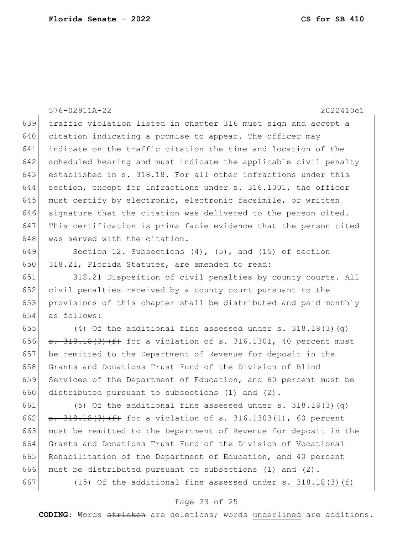576-02911A-22 2022410c1 traffic violation listed in chapter 316 must sign and accept a 640 citation indicating a promise to appear. The officer may indicate on the traffic citation the time and location of the scheduled hearing and must indicate the applicable civil penalty established in s. 318.18. For all other infractions under this section, except for infractions under s. 316.1001, the officer 645 must certify by electronic, electronic facsimile, or written signature that the citation was delivered to the person cited. This certification is prima facie evidence that the person cited 648 was served with the citation. 649 Section 12. Subsections  $(4)$ ,  $(5)$ , and  $(15)$  of section 650 318.21, Florida Statutes, are amended to read: 318.21 Disposition of civil penalties by county courts.—All civil penalties received by a county court pursuant to the provisions of this chapter shall be distributed and paid monthly as follows:  $(4)$  Of the additional fine assessed under s. 318.18(3)(g)  $s. 318.18(3)$  (f) for a violation of s. 316.1301, 40 percent must be remitted to the Department of Revenue for deposit in the 658 Grants and Donations Trust Fund of the Division of Blind Services of the Department of Education, and 60 percent must be 660 distributed pursuant to subsections  $(1)$  and  $(2)$ . 661 (5) Of the additional fine assessed under s.  $318.18(3)(q)$  $s. 318.18(3)(f)$  for a violation of s. 316.1303(1), 60 percent must be remitted to the Department of Revenue for deposit in the Grants and Donations Trust Fund of the Division of Vocational Rehabilitation of the Department of Education, and 40 percent 666 must be distributed pursuant to subsections (1) and  $(2)$ . 667 (15) Of the additional fine assessed under s.  $318.18(3)(f)$ 

#### Page 23 of 25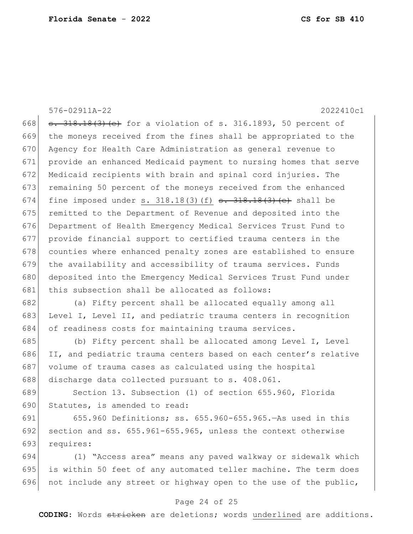576-02911A-22 2022410c1 668  $s. 318.18(3)$  (e) for a violation of s. 316.1893, 50 percent of 669 the moneys received from the fines shall be appropriated to the 670 Agency for Health Care Administration as general revenue to 671 provide an enhanced Medicaid payment to nursing homes that serve 672 Medicaid recipients with brain and spinal cord injuries. The 673 remaining 50 percent of the moneys received from the enhanced 674 fine imposed under s. 318.18(3)(f)  $\frac{1}{5}$ . 318.18(3)(e) shall be 675 remitted to the Department of Revenue and deposited into the 676 Department of Health Emergency Medical Services Trust Fund to 677 provide financial support to certified trauma centers in the 678 counties where enhanced penalty zones are established to ensure 679 the availability and accessibility of trauma services. Funds 680 deposited into the Emergency Medical Services Trust Fund under 681 this subsection shall be allocated as follows: 682 (a) Fifty percent shall be allocated equally among all 683 Level I, Level II, and pediatric trauma centers in recognition 684 of readiness costs for maintaining trauma services. 685 (b) Fifty percent shall be allocated among Level I, Level 686 II, and pediatric trauma centers based on each center's relative 687 volume of trauma cases as calculated using the hospital 688 discharge data collected pursuant to s. 408.061. 689 Section 13. Subsection (1) of section 655.960, Florida 690 Statutes, is amended to read: 691 655.960 Definitions; ss. 655.960-655.965.—As used in this 692 section and ss.  $655.961-655.965$ , unless the context otherwise 693 requires:

694 (1) "Access area" means any paved walkway or sidewalk which 695 is within 50 feet of any automated teller machine. The term does 696 not include any street or highway open to the use of the public,

### Page 24 of 25